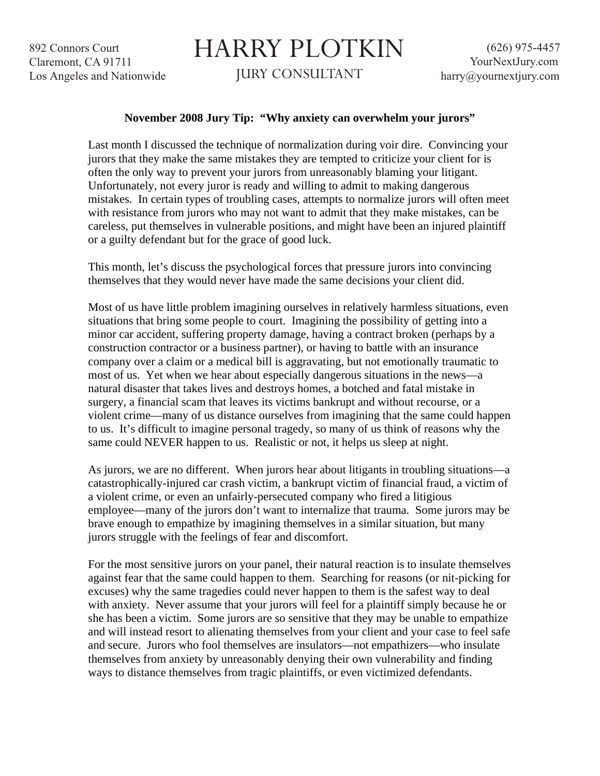892 Connors Court Claremont, CA 91711 Los Angeles and Nationwide

## HARRY PLOTKIN

JURY CONSULTANT

## **November 2008 Jury Tip: "Why anxiety can overwhelm your jurors"**

Last month I discussed the technique of normalization during voir dire. Convincing your jurors that they make the same mistakes they are tempted to criticize your client for is often the only way to prevent your jurors from unreasonably blaming your litigant. Unfortunately, not every juror is ready and willing to admit to making dangerous mistakes. In certain types of troubling cases, attempts to normalize jurors will often meet with resistance from jurors who may not want to admit that they make mistakes, can be careless, put themselves in vulnerable positions, and might have been an injured plaintiff or a guilty defendant but for the grace of good luck.

This month, let's discuss the psychological forces that pressure jurors into convincing themselves that they would never have made the same decisions your client did.

Most of us have little problem imagining ourselves in relatively harmless situations, even situations that bring some people to court. Imagining the possibility of getting into a minor car accident, suffering property damage, having a contract broken (perhaps by a construction contractor or a business partner), or having to battle with an insurance company over a claim or a medical bill is aggravating, but not emotionally traumatic to most of us. Yet when we hear about especially dangerous situations in the news—a natural disaster that takes lives and destroys homes, a botched and fatal mistake in surgery, a financial scam that leaves its victims bankrupt and without recourse, or a violent crime—many of us distance ourselves from imagining that the same could happen to us. It's difficult to imagine personal tragedy, so many of us think of reasons why the same could NEVER happen to us. Realistic or not, it helps us sleep at night.

As jurors, we are no different. When jurors hear about litigants in troubling situations—a catastrophically-injured car crash victim, a bankrupt victim of financial fraud, a victim of a violent crime, or even an unfairly-persecuted company who fired a litigious employee—many of the jurors don't want to internalize that trauma. Some jurors may be brave enough to empathize by imagining themselves in a similar situation, but many jurors struggle with the feelings of fear and discomfort.

For the most sensitive jurors on your panel, their natural reaction is to insulate themselves against fear that the same could happen to them. Searching for reasons (or nit-picking for excuses) why the same tragedies could never happen to them is the safest way to deal with anxiety. Never assume that your jurors will feel for a plaintiff simply because he or she has been a victim. Some jurors are so sensitive that they may be unable to empathize and will instead resort to alienating themselves from your client and your case to feel safe and secure. Jurors who fool themselves are insulators—not empathizers—who insulate themselves from anxiety by unreasonably denying their own vulnerability and finding ways to distance themselves from tragic plaintiffs, or even victimized defendants.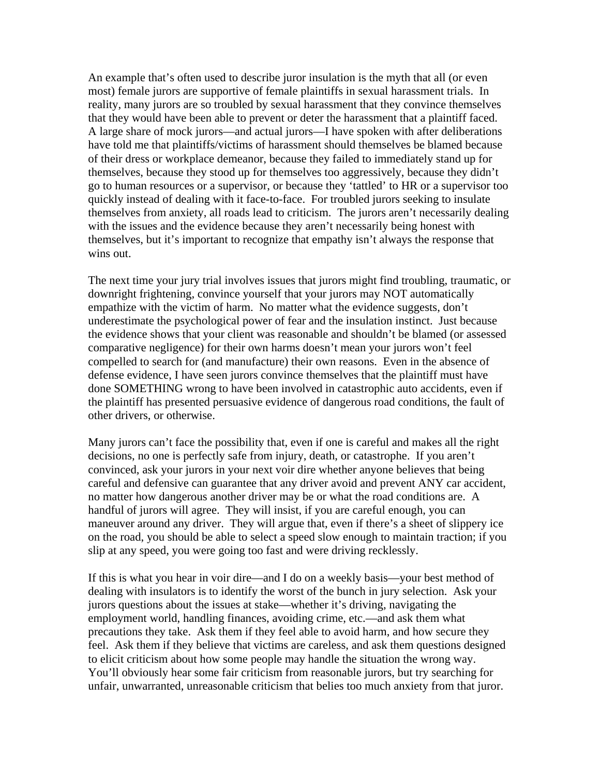An example that's often used to describe juror insulation is the myth that all (or even most) female jurors are supportive of female plaintiffs in sexual harassment trials. In reality, many jurors are so troubled by sexual harassment that they convince themselves that they would have been able to prevent or deter the harassment that a plaintiff faced. A large share of mock jurors—and actual jurors—I have spoken with after deliberations have told me that plaintiffs/victims of harassment should themselves be blamed because of their dress or workplace demeanor, because they failed to immediately stand up for themselves, because they stood up for themselves too aggressively, because they didn't go to human resources or a supervisor, or because they 'tattled' to HR or a supervisor too quickly instead of dealing with it face-to-face. For troubled jurors seeking to insulate themselves from anxiety, all roads lead to criticism. The jurors aren't necessarily dealing with the issues and the evidence because they aren't necessarily being honest with themselves, but it's important to recognize that empathy isn't always the response that wins out.

The next time your jury trial involves issues that jurors might find troubling, traumatic, or downright frightening, convince yourself that your jurors may NOT automatically empathize with the victim of harm. No matter what the evidence suggests, don't underestimate the psychological power of fear and the insulation instinct. Just because the evidence shows that your client was reasonable and shouldn't be blamed (or assessed comparative negligence) for their own harms doesn't mean your jurors won't feel compelled to search for (and manufacture) their own reasons. Even in the absence of defense evidence, I have seen jurors convince themselves that the plaintiff must have done SOMETHING wrong to have been involved in catastrophic auto accidents, even if the plaintiff has presented persuasive evidence of dangerous road conditions, the fault of other drivers, or otherwise.

Many jurors can't face the possibility that, even if one is careful and makes all the right decisions, no one is perfectly safe from injury, death, or catastrophe. If you aren't convinced, ask your jurors in your next voir dire whether anyone believes that being careful and defensive can guarantee that any driver avoid and prevent ANY car accident, no matter how dangerous another driver may be or what the road conditions are. A handful of jurors will agree. They will insist, if you are careful enough, you can maneuver around any driver. They will argue that, even if there's a sheet of slippery ice on the road, you should be able to select a speed slow enough to maintain traction; if you slip at any speed, you were going too fast and were driving recklessly.

If this is what you hear in voir dire—and I do on a weekly basis—your best method of dealing with insulators is to identify the worst of the bunch in jury selection. Ask your jurors questions about the issues at stake—whether it's driving, navigating the employment world, handling finances, avoiding crime, etc.—and ask them what precautions they take. Ask them if they feel able to avoid harm, and how secure they feel. Ask them if they believe that victims are careless, and ask them questions designed to elicit criticism about how some people may handle the situation the wrong way. You'll obviously hear some fair criticism from reasonable jurors, but try searching for unfair, unwarranted, unreasonable criticism that belies too much anxiety from that juror.